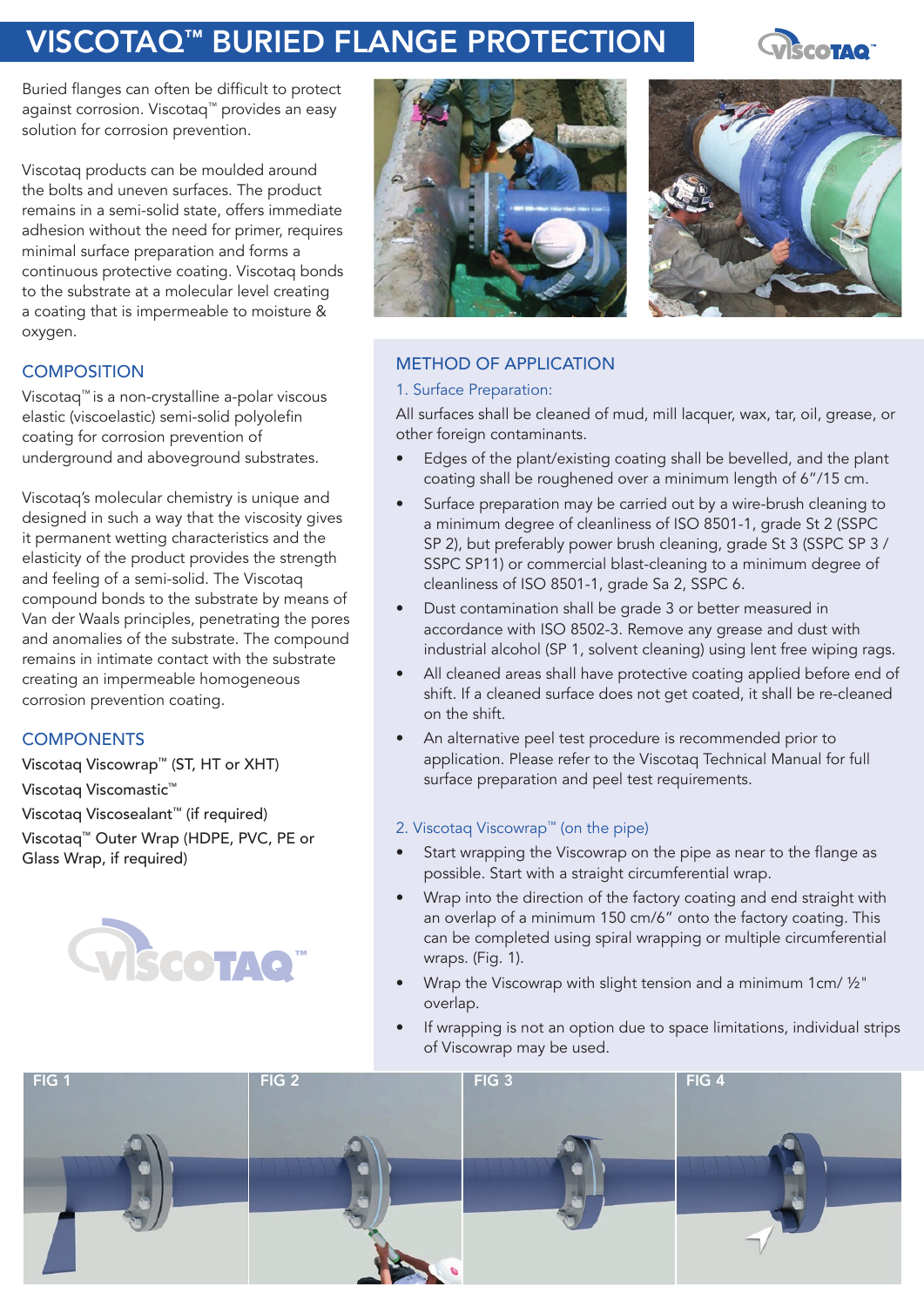# VISCOTAQ™ BURIED FLANGE PROTECTION



Buried flanges can often be difficult to protect against corrosion. Viscotaq™ provides an easy solution for corrosion prevention.

Viscotaq products can be moulded around the bolts and uneven surfaces. The product remains in a semi-solid state, offers immediate adhesion without the need for primer, requires minimal surface preparation and forms a continuous protective coating. Viscotaq bonds to the substrate at a molecular level creating a coating that is impermeable to moisture & oxygen.

## **COMPOSITION**

Viscotaq™ is a non-crystalline a-polar viscous elastic (viscoelastic) semi-solid polyolefin coating for corrosion prevention of underground and aboveground substrates.

Viscotaq's molecular chemistry is unique and designed in such a way that the viscosity gives it permanent wetting characteristics and the elasticity of the product provides the strength and feeling of a semi-solid. The Viscotaq compound bonds to the substrate by means of Van der Waals principles, penetrating the pores and anomalies of the substrate. The compound remains in intimate contact with the substrate creating an impermeable homogeneous corrosion prevention coating.

## **COMPONENTS**

Viscotaq Viscowrap™ (ST, HT or XHT) Viscotaq Viscomastic™

Viscotaq Viscosealant™ (if required)

Viscotaq™ Outer Wrap (HDPE, PVC, PE or Glass Wrap, if required)







## METHOD OF APPLICATION

#### 1. Surface Preparation:

All surfaces shall be cleaned of mud, mill lacquer, wax, tar, oil, grease, or other foreign contaminants.

- Edges of the plant/existing coating shall be bevelled, and the plant coating shall be roughened over a minimum length of 6"/15 cm.
- Surface preparation may be carried out by a wire-brush cleaning to a minimum degree of cleanliness of ISO 8501-1, grade St 2 (SSPC SP 2), but preferably power brush cleaning, grade St 3 (SSPC SP 3 / SSPC SP11) or commercial blast-cleaning to a minimum degree of cleanliness of ISO 8501-1, grade Sa 2, SSPC 6.
- Dust contamination shall be grade 3 or better measured in accordance with ISO 8502-3. Remove any grease and dust with industrial alcohol (SP 1, solvent cleaning) using lent free wiping rags.
- All cleaned areas shall have protective coating applied before end of shift. If a cleaned surface does not get coated, it shall be re-cleaned on the shift.
- An alternative peel test procedure is recommended prior to application. Please refer to the Viscotaq Technical Manual for full surface preparation and peel test requirements.

#### 2. Viscotaq Viscowrap™ (on the pipe)

- Start wrapping the Viscowrap on the pipe as near to the flange as possible. Start with a straight circumferential wrap.
- Wrap into the direction of the factory coating and end straight with an overlap of a minimum 150 cm/6" onto the factory coating. This can be completed using spiral wrapping or multiple circumferential wraps. (Fig. 1).
- Wrap the Viscowrap with slight tension and a minimum 1cm/ ½" overlap.
- If wrapping is not an option due to space limitations, individual strips of Viscowrap may be used.